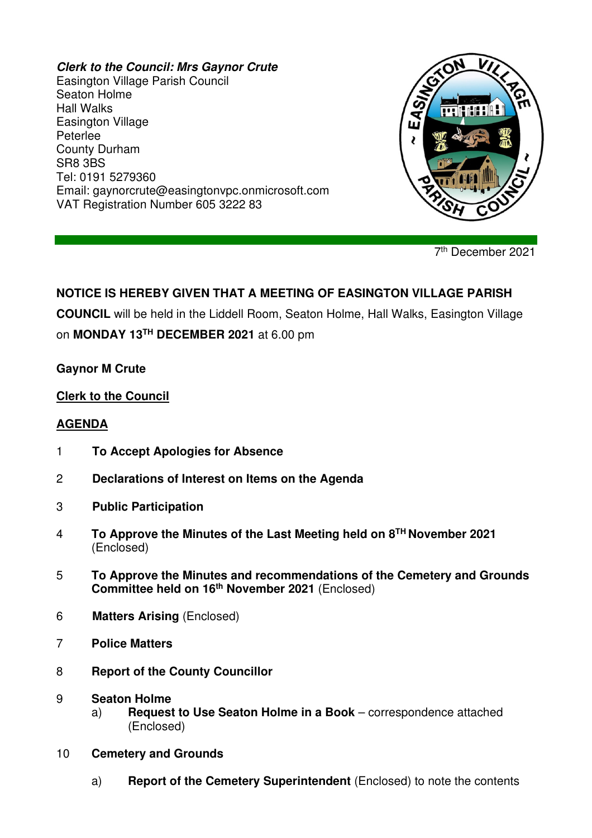#### **Clerk to the Council: Mrs Gaynor Crute**

Easington Village Parish Council Seaton Holme Hall Walks Easington Village Peterlee County Durham SR8 3BS Tel: 0191 5279360 Email: gaynorcrute@easingtonvpc.onmicrosoft.com VAT Registration Number 605 3222 83



7 th December 2021

# **NOTICE IS HEREBY GIVEN THAT A MEETING OF EASINGTON VILLAGE PARISH**

**COUNCIL** will be held in the Liddell Room, Seaton Holme, Hall Walks, Easington Village

on **MONDAY 13TH DECEMBER 2021** at 6.00 pm

#### **Gaynor M Crute**

## **Clerk to the Council**

## **AGENDA**

- 1 **To Accept Apologies for Absence**
- 2 **Declarations of Interest on Items on the Agenda**
- 3 **Public Participation**
- 4 **To Approve the Minutes of the Last Meeting held on 8 TH November 2021** (Enclosed)
- 5 **To Approve the Minutes and recommendations of the Cemetery and Grounds Committee held on 16th November 2021** (Enclosed)
- 6 **Matters Arising** (Enclosed)
- 7 **Police Matters**
- 8 **Report of the County Councillor**
- 9 **Seaton Holme** 
	- a) **Request to Use Seaton Holme in a Book** correspondence attached (Enclosed)
- 10 **Cemetery and Grounds**
	- a) **Report of the Cemetery Superintendent** (Enclosed) to note the contents